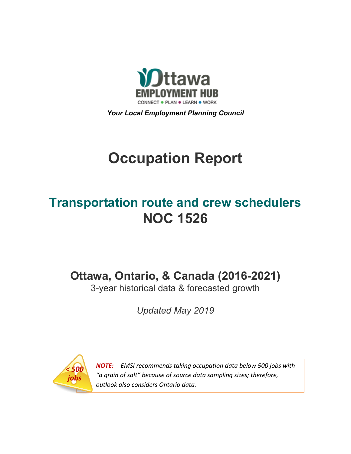

*Your Local Employment Planning Council*

# **Occupation Report**

# **Transportation route and crew schedulers NOC 1526**

**Ottawa, Ontario, & Canada (2016-2021)**

3-year historical data & forecasted growth

*Updated May 2019*



*NOTE: EMSI recommends taking occupation data below 500 jobs with "a grain of salt" because of source data sampling sizes; therefore, outlook also considers Ontario data.*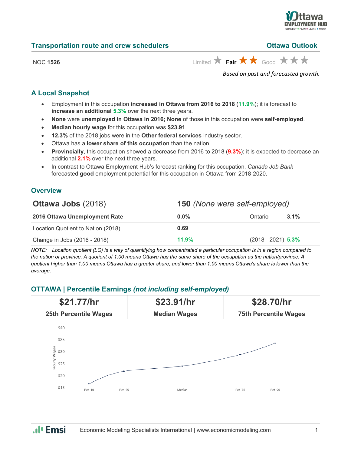

### **Transportation route and crew schedulers**

| <b>Ottawa Outlook</b> |  |
|-----------------------|--|
|                       |  |
|                       |  |

|  |  | NOC 1526 |  |  |
|--|--|----------|--|--|
|--|--|----------|--|--|

 $\overrightarrow{H}$  **Fair**  $\overrightarrow{H}$  Good  $\overrightarrow{H}$   $\overrightarrow{H}$ 

*Based on past and forecasted growth.*

# **A Local Snapshot**

- Employment in this occupation **increased in Ottawa from 2016 to 2018** (**11.9%**); it is forecast to **increase an additional 5.3%** over the next three years.
- **None** were **unemployed in Ottawa in 2016; None** of those in this occupation were **self-employed**.
- **Median hourly wage** for this occupation was **\$23.91**.
- **12.3%** of the 2018 jobs were in the **Other federal services** industry sector.
- Ottawa has a **lower share of this occupation** than the nation.
- **Provincially**, this occupation showed a decrease from 2016 to 2018 (**9.3%**); it is expected to decrease an additional **2.1%** over the next three years.
- In contrast to Ottawa Employment Hub's forecast ranking for this occupation, *Canada Job Bank*  forecasted **good** employment potential for this occupation in Ottawa from 2018-2020.

# **Overview**

| <b>Ottawa Jobs (2018)</b>          |         | <b>150</b> (None were self-employed) |  |  |
|------------------------------------|---------|--------------------------------------|--|--|
| 2016 Ottawa Unemployment Rate      | $0.0\%$ | $3.1\%$<br>Ontario                   |  |  |
| Location Quotient to Nation (2018) | 0.69    |                                      |  |  |
| Change in Jobs (2016 - 2018)       | 11.9%   | $(2018 - 2021)$ 5.3%                 |  |  |

*NOTE: Location quotient (LQ) is a way of quantifying how concentrated a particular occupation is in a region compared to the nation or province. A quotient of 1.00 means Ottawa has the same share of the occupation as the nation/province. A quotient higher than 1.00 means Ottawa has a greater share, and lower than 1.00 means Ottawa's share is lower than the average.*

# **OTTAWA | Percentile Earnings** *(not including self-employed)*



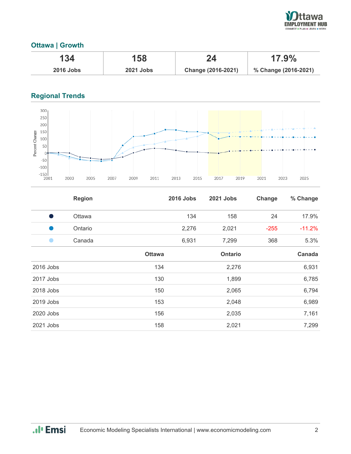

# **Ottawa | Growth**

| 134              | 158              |                    | $17.9\%$             |
|------------------|------------------|--------------------|----------------------|
| <b>2016 Jobs</b> | <b>2021 Jobs</b> | Change (2016-2021) | % Change (2016-2021) |

# **Regional Trends**



|           | <b>Region</b> |               | <b>2016 Jobs</b> | 2021 Jobs      | Change | % Change |
|-----------|---------------|---------------|------------------|----------------|--------|----------|
| - 1       | Ottawa        |               | 134              | 158            | 24     | 17.9%    |
| u.        | Ontario       |               | 2,276            | 2,021          | $-255$ | $-11.2%$ |
|           | Canada        |               | 6,931            | 7,299          | 368    | 5.3%     |
|           |               | <b>Ottawa</b> |                  | <b>Ontario</b> |        | Canada   |
| 2016 Jobs |               | 134           |                  | 2,276          |        | 6,931    |
| 2017 Jobs |               | 130           |                  | 1,899          |        | 6,785    |
| 2018 Jobs |               | 150           |                  | 2,065          |        | 6,794    |
| 2019 Jobs |               | 153           |                  | 2,048          |        | 6,989    |
| 2020 Jobs |               | 156           |                  | 2,035          |        | 7,161    |
| 2021 Jobs |               | 158           |                  | 2,021          |        | 7,299    |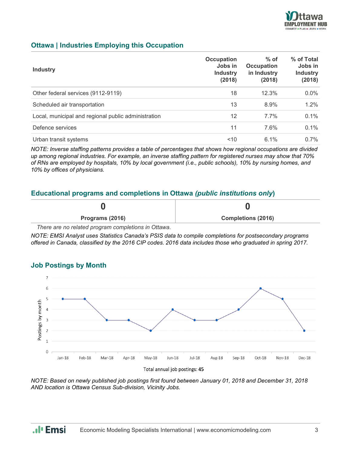

# **Ottawa | Industries Employing this Occupation**

| <b>Industry</b>                                     | <b>Occupation</b><br>Jobs in<br><b>Industry</b><br>(2018) | $%$ of<br>Occupation<br>in Industry<br>(2018) | % of Total<br>Jobs in<br><b>Industry</b><br>(2018) |
|-----------------------------------------------------|-----------------------------------------------------------|-----------------------------------------------|----------------------------------------------------|
| Other federal services (9112-9119)                  | 18                                                        | 12.3%                                         | 0.0%                                               |
| Scheduled air transportation                        | 13                                                        | 8.9%                                          | 1.2%                                               |
| Local, municipal and regional public administration | 12                                                        | $7.7\%$                                       | 0.1%                                               |
| Defence services                                    | 11                                                        | 7.6%                                          | 0.1%                                               |
| Urban transit systems                               | 10<                                                       | $6.1\%$                                       | $0.7\%$                                            |

*NOTE: Inverse staffing patterns provides a table of percentages that shows how regional occupations are divided up among regional industries. For example, an inverse staffing pattern for registered nurses may show that 70% of RNs are employed by hospitals, 10% by local government (i.e., public schools), 10% by nursing homes, and 10% by offices of physicians.*

## **Educational programs and completions in Ottawa** *(public institutions only***)**

| Programs (2016)               | <b>Completions (2016)</b> |
|-------------------------------|---------------------------|
| $\overline{\phantom{a}}$<br>. |                           |

*There are no related program completions in Ottawa.*

*NOTE: EMSI Analyst uses Statistics Canada's PSIS data to compile completions for postsecondary programs offered in Canada, classified by the 2016 CIP codes. 2016 data includes those who graduated in spring 2017.*

#### $\overline{1}$ 6  $\overline{5}$ Postings by month  $\overline{A}$  $\overline{3}$  $\overline{z}$  $\overline{1}$  $\Omega$ Jan-18 Feb-18  $Mar-18$  $Arr-18$  $Mav-18$  $lun-18$  $Jul-18$ Aug-18 Sep-18  $Oct-18$  $Now-18$  $Der-18$ Total annual job postings: 45

**Job Postings by Month**

*NOTE: Based on newly published job postings first found between January 01, 2018 and December 31, 2018 AND location is Ottawa Census Sub-division, Vicinity Jobs.*